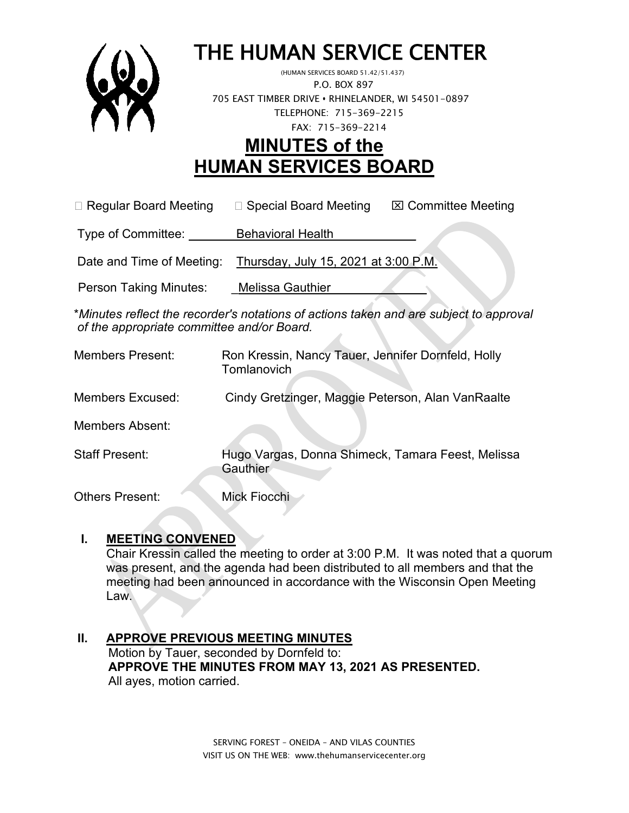

# THE HUMAN SERVICE CENTER (HUMAN SERVICES BOARD 51.42/51.437)

 P.O. BOX 897 705 EAST TIMBER DRIVE **•** RHINELANDER, WI 54501-0897 TELEPHONE: 715-369-2215 FAX: 715-369-2214

# **MINUTES of the HUMAN SERVICES BOARD**

 $\Box$  Regular Board Meeting  $\Box$  Special Board Meeting  $\Box$  Committee Meeting

Type of Committee: Behavioral Health

Date and Time of Meeting: Thursday, July 15, 2021 at 3:00 P.M.

Person Taking Minutes: Melissa Gauthier

\**Minutes reflect the recorder's notations of actions taken and are subject to approval of the appropriate committee and/or Board.*

Members Present: Ron Kressin, Nancy Tauer, Jennifer Dornfeld, Holly **Tomlanovich** Members Excused: Cindy Gretzinger, Maggie Peterson, Alan VanRaalte Members Absent: Staff Present: Hugo Vargas, Donna Shimeck, Tamara Feest, Melissa **Gauthier** Others Present: Mick Fiocchi

#### **I. MEETING CONVENED**

Chair Kressin called the meeting to order at 3:00 P.M. It was noted that a quorum was present, and the agenda had been distributed to all members and that the meeting had been announced in accordance with the Wisconsin Open Meeting Law.

#### **II. APPROVE PREVIOUS MEETING MINUTES**

 Motion by Tauer, seconded by Dornfeld to:  **APPROVE THE MINUTES FROM MAY 13, 2021 AS PRESENTED.** All ayes, motion carried.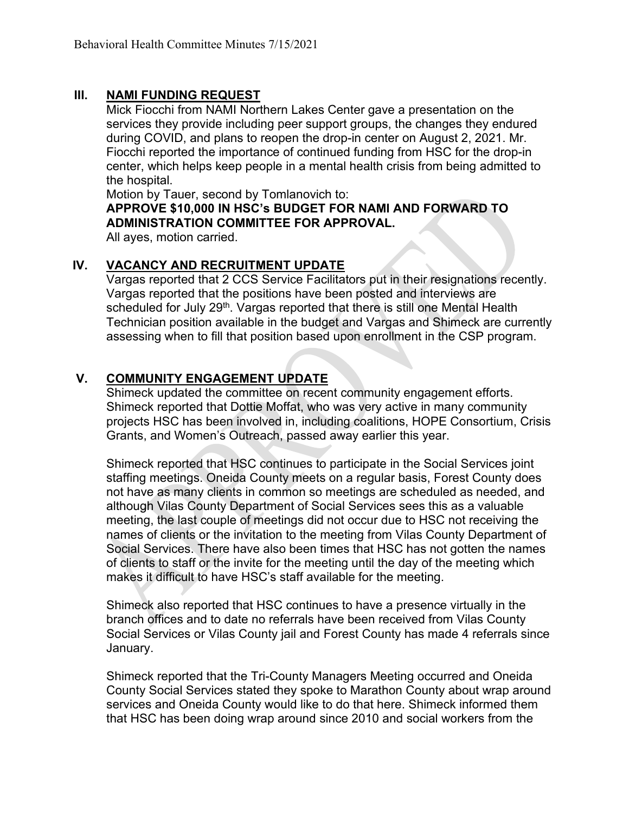#### **III. NAMI FUNDING REQUEST**

Mick Fiocchi from NAMI Northern Lakes Center gave a presentation on the services they provide including peer support groups, the changes they endured during COVID, and plans to reopen the drop-in center on August 2, 2021. Mr. Fiocchi reported the importance of continued funding from HSC for the drop-in center, which helps keep people in a mental health crisis from being admitted to the hospital.

Motion by Tauer, second by Tomlanovich to:

**APPROVE \$10,000 IN HSC's BUDGET FOR NAMI AND FORWARD TO ADMINISTRATION COMMITTEE FOR APPROVAL.**

All ayes, motion carried.

#### **IV. VACANCY AND RECRUITMENT UPDATE**

Vargas reported that 2 CCS Service Facilitators put in their resignations recently. Vargas reported that the positions have been posted and interviews are scheduled for July 29<sup>th</sup>. Vargas reported that there is still one Mental Health Technician position available in the budget and Vargas and Shimeck are currently assessing when to fill that position based upon enrollment in the CSP program.

#### **V. COMMUNITY ENGAGEMENT UPDATE**

Shimeck updated the committee on recent community engagement efforts. Shimeck reported that Dottie Moffat, who was very active in many community projects HSC has been involved in, including coalitions, HOPE Consortium, Crisis Grants, and Women's Outreach, passed away earlier this year.

Shimeck reported that HSC continues to participate in the Social Services joint staffing meetings. Oneida County meets on a regular basis, Forest County does not have as many clients in common so meetings are scheduled as needed, and although Vilas County Department of Social Services sees this as a valuable meeting, the last couple of meetings did not occur due to HSC not receiving the names of clients or the invitation to the meeting from Vilas County Department of Social Services. There have also been times that HSC has not gotten the names of clients to staff or the invite for the meeting until the day of the meeting which makes it difficult to have HSC's staff available for the meeting.

Shimeck also reported that HSC continues to have a presence virtually in the branch offices and to date no referrals have been received from Vilas County Social Services or Vilas County jail and Forest County has made 4 referrals since January.

Shimeck reported that the Tri-County Managers Meeting occurred and Oneida County Social Services stated they spoke to Marathon County about wrap around services and Oneida County would like to do that here. Shimeck informed them that HSC has been doing wrap around since 2010 and social workers from the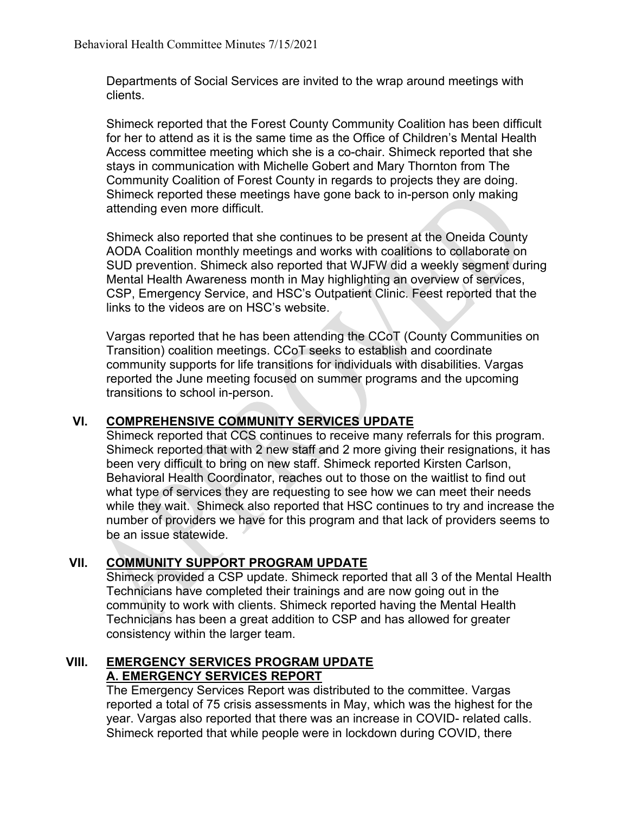Departments of Social Services are invited to the wrap around meetings with clients.

Shimeck reported that the Forest County Community Coalition has been difficult for her to attend as it is the same time as the Office of Children's Mental Health Access committee meeting which she is a co-chair. Shimeck reported that she stays in communication with Michelle Gobert and Mary Thornton from The Community Coalition of Forest County in regards to projects they are doing. Shimeck reported these meetings have gone back to in-person only making attending even more difficult.

Shimeck also reported that she continues to be present at the Oneida County AODA Coalition monthly meetings and works with coalitions to collaborate on SUD prevention. Shimeck also reported that WJFW did a weekly segment during Mental Health Awareness month in May highlighting an overview of services, CSP, Emergency Service, and HSC's Outpatient Clinic. Feest reported that the links to the videos are on HSC's website.

Vargas reported that he has been attending the CCoT (County Communities on Transition) coalition meetings. CCoT seeks to establish and coordinate community supports for life transitions for individuals with disabilities. Vargas reported the June meeting focused on summer programs and the upcoming transitions to school in-person.

#### **VI. COMPREHENSIVE COMMUNITY SERVICES UPDATE**

Shimeck reported that CCS continues to receive many referrals for this program. Shimeck reported that with 2 new staff and 2 more giving their resignations, it has been very difficult to bring on new staff. Shimeck reported Kirsten Carlson, Behavioral Health Coordinator, reaches out to those on the waitlist to find out what type of services they are requesting to see how we can meet their needs while they wait. Shimeck also reported that HSC continues to try and increase the number of providers we have for this program and that lack of providers seems to be an issue statewide.

# **VII. COMMUNITY SUPPORT PROGRAM UPDATE**

Shimeck provided a CSP update. Shimeck reported that all 3 of the Mental Health Technicians have completed their trainings and are now going out in the community to work with clients. Shimeck reported having the Mental Health Technicians has been a great addition to CSP and has allowed for greater consistency within the larger team.

#### **VIII. EMERGENCY SERVICES PROGRAM UPDATE A. EMERGENCY SERVICES REPORT**

The Emergency Services Report was distributed to the committee. Vargas reported a total of 75 crisis assessments in May, which was the highest for the year. Vargas also reported that there was an increase in COVID- related calls. Shimeck reported that while people were in lockdown during COVID, there